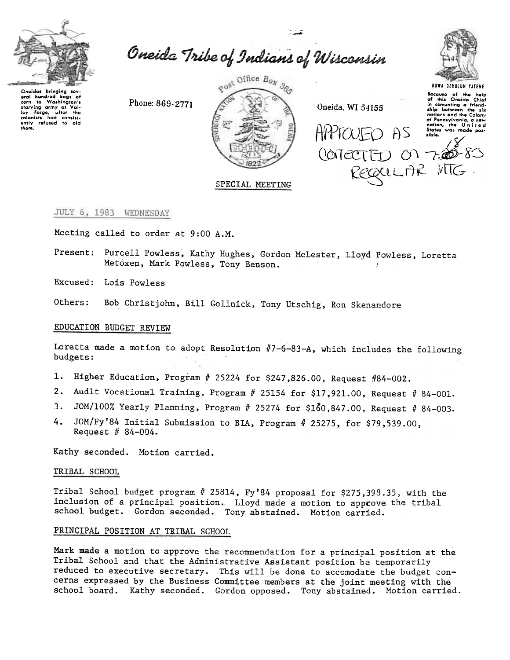

Oneida Tribe of Indians of Wisconsin

Cnoidas bringing sov Croadcas bringing sov-<br>crain hold bags of<br>crain to Washington's<br>starving army at Val-<br>loop for the hold bags of the soloists<br>only refused to aid<br>them.

Phone: 869-2771



Oneida, WI 54155

APPTOUED AS



socause of the help<br>of this Oneida Chief in comenting a friend-<br>ship between the six ship between the six of Pennsylvania, a new<br>nation, the United<br>States was made possible. COMECTEU ON 720-83

REQUILIAR MTG.

# SPECIAL MEETING

JULY 6, 1983 WEDNESDAY

Meeting called to order at 9:00 A.M.

Present: Purcell Powless, Kathy Hughes, Gordon McLester, Lloyd Powless, Loretta Metoxen, Mark Powless, Tony Benson.

Excused: Lois Powless

Others: Bob Christjohn, Bill Gollnick, Tony Utschig, Ron Skenandore

# EDUCATION BUDGET REVIEW

Loretta made a motion to adopt Resolution  $#7-6-83-A$ , which includes the following budgets:

- 1. Higher Education, Program # 25224 for \$247,826.00, Request #84-002.
- 2. Audlt Vocational Training, Program # 25154 for \$17,921.00, Request # 84-001.
- 3. JOM/100% Yearly Planning, Program # 25274 for \$160,847.00, Request # 84-003.
- $4.$ JOM/Fy'84 Initial Submission to BIA, Program # 25275, for \$79,539.00, Request  $# 84 - 004.$

Kathy seconded. Motion carried.

# TRIBAL SCHOOL

Tribal School budget program # 25814, Fy'84 proposal for \$275,398.35, with the inclusion of a principal position. Lloyd made a motion to approve the tribal school budget. Gordon seconded. Tony abstained. Motion carried.

# PRINCIPAL POSITION AT TRIBAL SCHOOL

Mark made a motion to approve the recommendation for a principal position at the Tribal School and that the Administrative Assistant position be temporarily reduced to executive secretary. This will be done to accomodate the budget concerns expressed by the Business Committee members at the joint meeting with the school board. Kathy seconded. Gordon opposed. Tony abstained. Motion carried.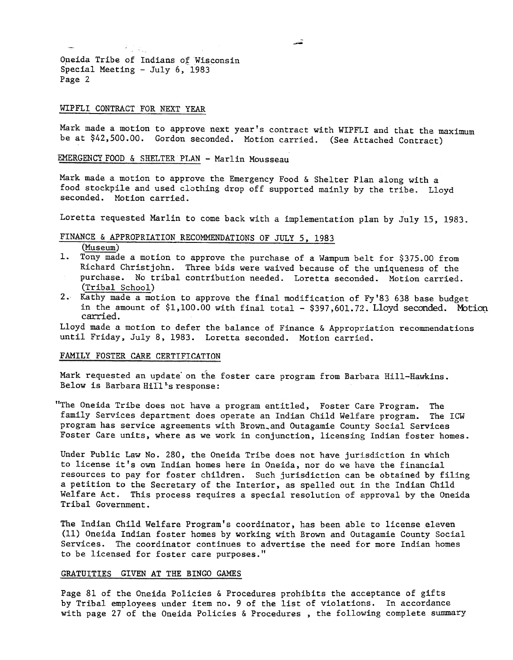Oneida Tribe of Indians of Wisconsin Special Meeting - July 6, 1983 Page 2

#### WIPFLI CONTRACT FOR NEXT YEAR

 $\mathcal{A} = \mathcal{A}$ 

Mark made a motion to approve next year's contract with WIPFLI and that the maximum be at \$42,500.00. Gordon seconded. Motion carried. (See Attached Contract)

# EMERGENCY FOOD & SHELTER PLAN - Marlin Mousseau

Mark made a motion to approve the Emergency Food & Shelter Plan along with a food stockpile and used clothing drop off supported mainly by the tribe. Lloyd seconded. Motion carried.

Loretta requested Marlin to come back with a implementation plan by July 15.1983.

# FINANCE & APPROPRIATION RECOMMENDATIONS OF JULY 5, 1983

Museum)

- 1. Tony made a motion to approve the purchase of a Wampum belt for \$375.00 from Richard Christjohn. Three bids were waived because of the uniqueness of the purchase. No tribal contribution needed. Loretta seconded. Motion carried. (Tribal School)
- 2. Kathy made a motion to approve the final modification of Fy'83 638 base budget in the amount of  $$1,100.00$  with final total -  $$397,601.72$ . Lloyd seconded. Motion carried.

Lloyd made a motion to defer the balance of Finance & Appropriation recommendations until Friday, July 8,1983. Loretta seconded. Motion carried.

#### FAMILY FOSTER CARE CERTIFICATION

Mark requested an update on the foster care program from Barbara Hill-Hawkins. Below is Barbara Hill's response:

"The Oneida Tribe does not have a program entitled, Foster Care Program. The family Services department does operate an Indian Child Welfare program. The ICW program has service agreements with Brown\_and Outagamie County Social Services Foster Care units, where as we work in conjunction, licensing Indian foster homes.

Under Public Law No. 280, the Oneida Tribe does not have jurisdiction in which to license it's own Indian homes here in Oneida, nor do we have the financial resources to pay for foster children. Such jurisdiction can be obtained by filing a petition to the Secretary of the Interior, as spelled out in the Indian Child Welfare Act. This process requires a special resolution of approval by the Oneida Tribal Government.

The Indian Child Welfare Program's coordinator, has been able to license eleven (11) Oneida Indian foster homes by working with Brown and Outagamie County Social Services. The coordinator continues to advertise the need for more Indian homes to be licensed for foster care purposes."

#### GRATUITIES GIVEN AT THE BINGO GAMES

Page 81 of the Oneida Policies & Procedures prohibits the acceptance of gifts by Tribal employees under item no. 9 of the list of violations. In accordance with page 27 of the Oneida Policies & Procedures, the following complete summary